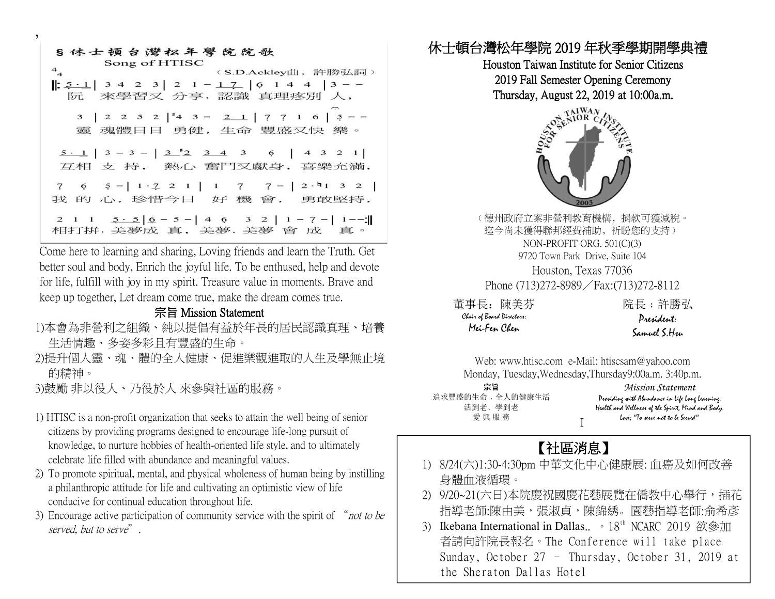| S 休士顿台灣松年學院院歌<br>Song of HTISC                                                                     |
|----------------------------------------------------------------------------------------------------|
| $^{4}$<br>(S.D.Ackley曲,許勝弘詞)                                                                       |
| $\left  \frac{5 \cdot 1}{2} \right $ 3 4 2 3 2 1 - 1 7 6 1 4 4 3 - -<br>阮 來學習又 分享,認識 真理疼別 人,       |
| 3   2 2 5 2   $\vert 4$ 3 - 2 1   7 7 1 6   5 - -<br>靈 魂體日日 勇健, 生命 豐盛又快 樂。                         |
| $5 \cdot 1$ 3 - 3 - 3 $\stackrel{1}{2}$ 3 4 3 6 4 3 2 1<br>互相 支 持, 熱心 奮鬥又獻身, 喜樂充滿,                 |
| 7 6 5 - $1 \cdot 7$ 2 1   1 7 7 -   2 · 4 1 3 2  <br>我的心,珍惜今日 好機會, 勇敢堅持,                           |
| 2 1 1 $\frac{5 \cdot 5}{6}$ $\frac{6}{6}$ - 5 - 4 6 3 2 1 - 7 - 1 - -:<br>相打拼, 美夢成 真, 美夢、美夢 會 成 真。 |

Come here to learning and sharing, Loving friends and learn the Truth. Get better soul and body, Enrich the joyful life. To be enthused, help and devote for life, fulfill with joy in my spirit. Treasure value in moments. Brave and keep up together, Let dream come true, make the dream comes true.<br> **董事長**: 陳美芬

#### 宗旨 Mission Statement

- 1)本會為非營利之組織、純以提倡有益於年長的居民認識真理、培養 生活情趣、多姿多彩且有豐盛的生命。
- 2)提升個人靈、魂、體的全人健康、促進樂觀進取的人生及學無止境 的精神。
- 3)鼓勵 非以役人、乃役於人 來參與社區的服務。

,

- 1) HTISC is a non-profit organization that seeks to attain the well being of senior citizens by providing programs designed to encourage life-long pursuit of knowledge, to nurture hobbies of health-oriented life style, and to ultimately celebrate life filled with abundance and meaningful values.
- 2) To promote spiritual, mental, and physical wholeness of human being by instilling a philanthropic attitude for life and cultivating an optimistic view of life conducive for continual education throughout life.
- 3) Encourage active participation of community service with the spirit of "not to be served, but to serve".

## 休士頓台灣松年學院 2019 年秋季學期開學典禮

Houston Taiwan Institute for Senior Citizens 2019 Fall Semester Opening Ceremony Thursday, August 22, 2019 at 10:00a.m.



○德州政府立案非營利教育機構,捐款可獲減稅。 迄今尚未獲得聯邦經費補助, 祈盼您的支持) NON-PROFIT ORG. 501(C)(3) 9720 Town Park Drive, Suite 104 Houston, Texas 77036 Phone (713)272-8989/Fax:(713)272-8112

董事長:陳美芬 院長:許勝弘<br><sup>Clais</sup> of Board Disectors: Pre*sid*ent:<br>Mei-Fen Cleen Samuel S.Hsu Chair of Board Directors: Mei-Fen Chen

President:

Web: [www.htisc.com](http://www.htisc.com) e-Mail: htiscsam@yahoo.com Monday, Tuesday,Wednesday,Thursday9:00a.m. 3:40p.m.

愛與服務 *Love*; "To urve *s* 宗旨 *Mission Statement* 追求豐盛的生命﹐全人的健康生活 活到老﹑學到老 Health and Wellness of the Spirit, Mind and Body.

Providing with Abundance in Life Long Learning. 院長:許勝弘<br>P**resident:**<br>Samuel S.Hsu<br>sam@yahoo.com<br>sy9:00a.m. 3:40p.m.<br>Mission Statement<br>y with Alundance in life long learning.<br>d Wellness of the Spirit, Mind and Body.<br>love; "To serve not to be Served"

# 【社區消息】

- 1) 8/24(六)1:30-4:30pm 中華文化中心健康展:血癌及如何改善 身體血液循環。
- 2) 9/20~21(六日)本院慶祝國慶花藝展覽在僑教中心舉行, 插花 指導老師:陳由美,張淑貞,陳錦綉。園藝指導老師:俞希彥
- 3) Ikebana International in Dallas.. 18<sup>th</sup> NCARC 2019 欲參加 | 者請向許院長報名。The Conference will take place Sunday, October 27 – Thursday, October 31, 2019 at the Sheraton Dallas Hotel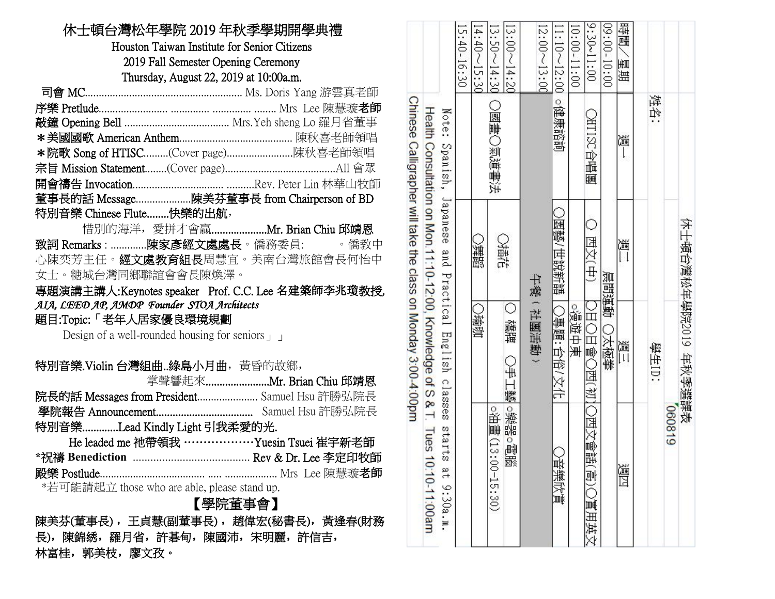| 休士頓台灣松年學院 2019 年秋季學期開學典禮<br>Houston Taiwan Institute for Senior Citizens<br>2019 Fall Semester Opening Ceremony<br>Thursday, August 22, 2019 at 10:00a.m.                                                                                |                                                            | $40-$<br>16:<br>క                                                           | A<br>$40-$<br>ᇦ | ىي<br>ىن<br>$\frac{1}{\sqrt{2}}$<br>$-05$<br>$\frac{14.20}{14.20}$<br>$\overline{14}$<br>$\approx$ | $2:00 - 13:00$ | $1:10 \sim 12$<br>$\overline{00}$ | $.30 - 11:00$<br>$0:00-11:$<br>$\infty$ | $-00:60-$<br>10:00 | 插<br>画<br>匿<br>睡 |            |               |
|------------------------------------------------------------------------------------------------------------------------------------------------------------------------------------------------------------------------------------------|------------------------------------------------------------|-----------------------------------------------------------------------------|-----------------|----------------------------------------------------------------------------------------------------|----------------|-----------------------------------|-----------------------------------------|--------------------|------------------|------------|---------------|
| *院歌 Song of HTISC(Cover page)陳秋喜老師領唱<br>董事長的話 Message陳美芬董事長 from Chairperson of BD                                                                                                                                                       | <b>Chinese</b><br>Health<br>Consultation on Mon.           | Note<br>v2<br>panish                                                        |                 | 國畫<br>氣道書法                                                                                         |                | О<br>健康諮詢                         | <b>AHISC</b><br>山野<br>膕                 |                    | 测                | 媒<br>价     |               |
| 特別音樂 Chinese Flute快樂的出航,<br>致詞 Remarks : 陳家彥經文處處長。僑務委員:<br>。僑教中<br>心陳奕芳主任。 <b>經文處教育組長</b> 周慧宜。美南台灣旅館會長何怡中<br>女士。糖城台灣同鄉聯誼會會長陳煥澤。<br>專題演講主講人:Keynotes speaker Prof. C.C. Lee 名建築師李兆瓊教授,                                                    | Calligrapher will take the<br>11:10-12:00<br>class         | Japanese<br>and<br>4<br>rac                                                 | 圖膜              | ○植花                                                                                                | 七義             | 藝/世說新語                            | 西文(中)                                   | 晨間蓮                | 测                |            | 木土頓台灣松年學院2019 |
| AIA, LEED AP, AMDP Founder STOA Architects<br>題目:Topic:「老年人居家優良環境規劃<br>Design of a well-rounded housing for seniors $\perp$<br>特別音樂.Violin 台灣組曲綠島小月曲, 黃昏的故鄉,<br>掌聲響起來Mr. Brian Chiu 邱靖恩<br>院長的話 Messages from President Samuel Hsu 許勝弘院長 | on Monday 3:00-4:00pm<br>Knowledge<br>$\Omega$<br>$\omega$ | Ë<br>œ<br>口<br>$\mathbb{R}$<br>gy<br>$\circ$<br>388                         | ○瑜珈             | С<br>禮牌<br>₩<br>Н<br>蠻                                                                             | 社園活動           | 連題<br>国参                          | о<br>漫遊中兼<br>山<br>山嶋口<br>西初心            | 靊<br>太極挙           | 道                | 山<br>王<br> | 年秋季           |
| 特別音樂Lead Kindly Light 引我柔愛的光.<br>He leaded me 祂帶領我 ……………… Yuesin Tsuei 崔宇新老師<br>*若可能請起立 those who are able, please stand up.<br>【學院董事會】<br>陳美芬(董事長),王貞慧(副董事長),趙偉宏(秘書長),黃逢春(財務<br>長),陳錦綉,羅月省,許碁甸,陳國沛,宋明麗,許信吉,<br>林富桂,郭美枝,廖文孜。             | ନ୍ତ<br>lues<br>10:10-11:00am                               | $\tilde{\mathcal{C}}$<br>818<br>$\sigma$<br>ø.<br>$\rightarrow$<br>O<br>SO. |                 | ■悪◎<br>渝。<br>嘂<br>$\circ$<br>(13)<br>刪<br>諁<br>$00 - 15 : 30$                                      |                | 音樂欣賞                              | 西文<br>电高<br>賈用英<br>₩                    |                    | 邁四               |            | 謙恭<br>618090  |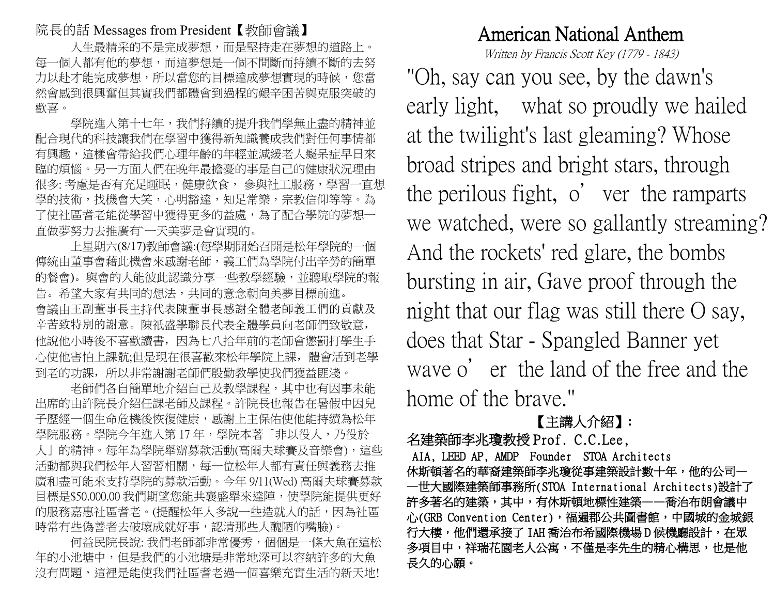#### 院長的話 Messages from President【教師會議】

人生最精采的不是完成夢想,而是堅持走在夢想的道路上。 每一個人都有他的夢想,而這夢想是一個不間斷而持續不斷的去努 力以赴才能完成夢想,所以當您的目標達成夢想實現的時候,您當 然會感到很興奮但其實我們都體會到過程的艱辛困苦與克服突破的 歡喜。

學院進入第十七年,我們持續的提升我們學無止盡的精神並 配合現代的科技讓我們在學習中獲得新知識養成我們對任何事情都 有興趣,這樣會帶給我們心理年齡的年輕並減緩老人癡呆症早日來 臨的煩惱。另一方面人們在晚年最擔憂的事是自己的健康狀況理由 很多: 考慮是否有充足睡眠, 健康飲食, 参與社工服務, 學習一直想 學的技術,找機會大笑,心明豁達,知足常樂,宗教信仰等等。為 了使社區耆老能從學習中獲得更多的益處,為了配合學院的夢想一 直做夢努力去推廣有`一天美夢是會實現的。

上星期六(8/17)教師會議:(每學期開始召開是松年學院的一個 傳統由董事會藉此機會來感謝老師,義工們為學院付出辛勞的簡單 的餐會)。與會的人能彼此認識分享一些教學經驗,並聽取學院的報 告。希望大家有共同的想法,共同的意念朝向美夢目標前進。 會議由王副董事長主持代表陳董事長感謝全體老師義工們的貢獻及 辛苦致特別的謝意。陳祇盛學聯長代表全體學員向老師們致敬意, 他說他小時後不喜歡讀書,因為七八拾年前的老師會懲罰打學生手 心使他害怕上課骯;但是現在很喜歡來松年學院上課, 體會活到老學 到老的功課,所以非常謝謝老師們殷勤教學使我們獲益匪淺。

老師們各自簡單地介紹自己及教學課程,其中也有因事未能 出席的由許院長介紹任課老師及課程。許院長也報告在暑假中因兒 子歷經一個生命危機後恢復健康,感謝上主保佑使他能持續為松年 學院服務。學院今年進入第17年,學院本著「非以役人,乃役於 人」的精神。每年為學院舉辦募款活動(高爾夫球賽及音樂會),這些 活動都與我們松年人習習相關,每一位松年人都有責任與義務去推 廣和盡可能來支持學院的募款活動。今年 9/11(Wed) 高爾夫球賽募款 目標是\$50.000.00 我們期望您能共襄盛舉來達陣,使學院能提供更好 的服務嘉惠社區耆老。(提醒松年人多說一些造就人的話,因為社區 時常有些偽善者去破壞成就好事,認清那些人醜陋的嘴臉)。

何益民院長說: 我們老師都非常優秀,個個是一條大魚在這松 年的小池塘中,但是我們的小池塘是非常地深可以容納許多的大魚 沒有問題,這裡是能使我們社區者老過一個喜樂充實生活的新天地!

## American National Anthem

Written by Francis Scott Key (1779 - 1843)

"Oh, say can you see, by the dawn's early light, what so proudly we hailed at the twilight's last gleaming? Whose broad stripes and bright stars, through the perilous fight, o ' ver the ramparts we watched, were so gallantly streaming? And the rockets' red glare, the bombs bursting in air, Gave proof through the night that our flag was still there O say, does that Star - Spangled Banner yet wave o ' er the land of the free and the home of the brave."

## 【主講人介紹】**:**

名建築師李兆瓊教授 Prof. C.C.Lee, AIA, LEED AP, AMDP Founder STOA Architects 休斯頓著名的華裔建築師李兆瓊從事建築設計數十年,他的公司一 —世大國際建築師事務所(STOA International Architects)設計了 許多著名的建築,其中,有休斯頓地標性建築——喬治布朗會議中 心(GRB Convention Center),福遍郡公共圖書館,中國城的金城銀 行大樓,他們還承接了 IAH 喬治布希國際機場 D 候機廳設計,在眾 多項目中,祥瑞花園老人公寓,不僅是李先生的精心構思,也是他 長久的心願。